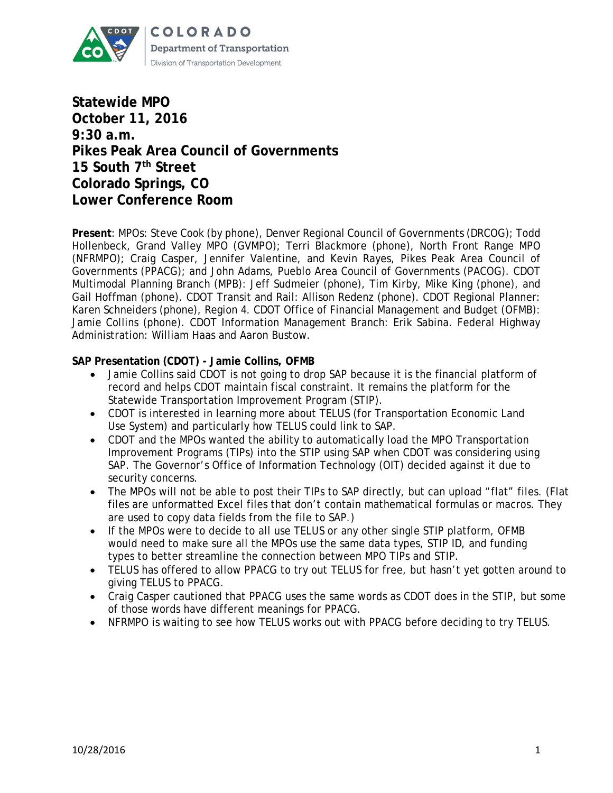

**Statewide MPO October 11, 2016 9:30 a.m. Pikes Peak Area Council of Governments 15 South 7th Street Colorado Springs, CO Lower Conference Room**

**Present**: MPOs: Steve Cook (by phone), Denver Regional Council of Governments (DRCOG); Todd Hollenbeck, Grand Valley MPO (GVMPO); Terri Blackmore (phone), North Front Range MPO (NFRMPO); Craig Casper, Jennifer Valentine, and Kevin Rayes, Pikes Peak Area Council of Governments (PPACG); and John Adams, Pueblo Area Council of Governments (PACOG). CDOT Multimodal Planning Branch (MPB): Jeff Sudmeier (phone), Tim Kirby, Mike King (phone), and Gail Hoffman (phone). CDOT Transit and Rail: Allison Redenz (phone). CDOT Regional Planner: Karen Schneiders (phone), Region 4. CDOT Office of Financial Management and Budget (OFMB): Jamie Collins (phone). CDOT Information Management Branch: Erik Sabina. Federal Highway Administration: William Haas and Aaron Bustow.

#### **SAP Presentation (CDOT) - Jamie Collins, OFMB**

- Jamie Collins said CDOT is not going to drop SAP because it is the financial platform of record and helps CDOT maintain fiscal constraint. It remains the platform for the Statewide Transportation Improvement Program (STIP).
- CDOT is interested in learning more about TELUS (for Transportation Economic Land Use System) and particularly how TELUS could link to SAP.
- CDOT and the MPOs wanted the ability to automatically load the MPO Transportation Improvement Programs (TIPs) into the STIP using SAP when CDOT was considering using SAP. The Governor's Office of Information Technology (OIT) decided against it due to security concerns.
- The MPOs will not be able to post their TIPs to SAP directly, but can upload "flat" files. (Flat files are unformatted Excel files that don't contain mathematical formulas or macros. They are used to copy data fields from the file to SAP.)
- If the MPOs were to decide to all use TELUS or any other single STIP platform, OFMB would need to make sure all the MPOs use the same data types, STIP ID, and funding types to better streamline the connection between MPO TIPs and STIP.
- TELUS has offered to allow PPACG to try out TELUS for free, but hasn't yet gotten around to giving TELUS to PPACG.
- Craig Casper cautioned that PPACG uses the same words as CDOT does in the STIP, but some of those words have different meanings for PPACG.
- NFRMPO is waiting to see how TELUS works out with PPACG before deciding to try TELUS.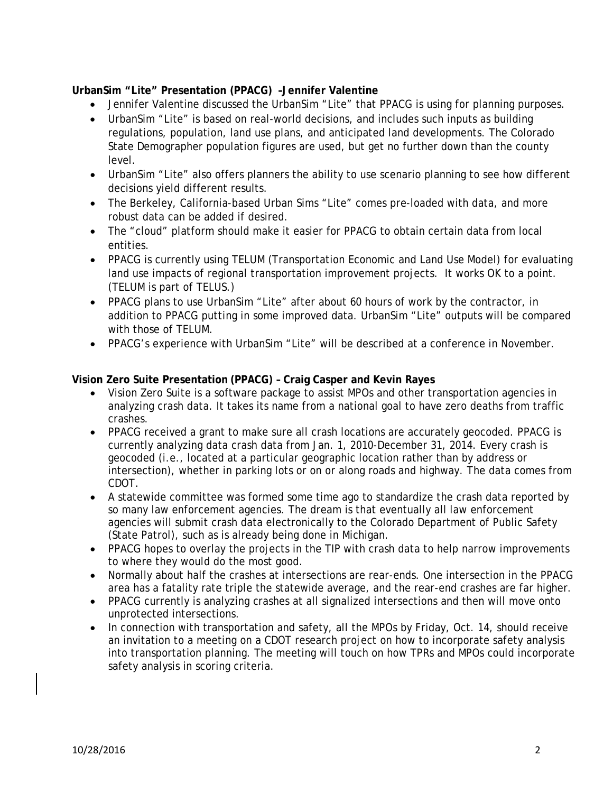# **UrbanSim "Lite" Presentation (PPACG) –Jennifer Valentine**

- Jennifer Valentine discussed the UrbanSim "Lite" that PPACG is using for planning purposes.
- UrbanSim "Lite" is based on real-world decisions, and includes such inputs as building regulations, population, land use plans, and anticipated land developments. The Colorado State Demographer population figures are used, but get no further down than the county level.
- UrbanSim "Lite" also offers planners the ability to use scenario planning to see how different decisions yield different results.
- The Berkeley, California-based Urban Sims "Lite" comes pre-loaded with data, and more robust data can be added if desired.
- The "cloud" platform should make it easier for PPACG to obtain certain data from local entities.
- PPACG is currently using TELUM (Transportation Economic and Land Use Model) for evaluating land use impacts of regional transportation improvement projects. It works OK to a point. (TELUM is part of TELUS.)
- PPACG plans to use UrbanSim "Lite" after about 60 hours of work by the contractor, in addition to PPACG putting in some improved data. UrbanSim "Lite" outputs will be compared with those of TELUM.
- PPACG's experience with UrbanSim "Lite" will be described at a conference in November.

### **Vision Zero Suite Presentation (PPACG) – Craig Casper and Kevin Rayes**

- Vision Zero Suite is a software package to assist MPOs and other transportation agencies in analyzing crash data. It takes its name from a national goal to have zero deaths from traffic crashes.
- PPACG received a grant to make sure all crash locations are accurately geocoded. PPACG is currently analyzing data crash data from Jan. 1, 2010-December 31, 2014. Every crash is geocoded (i.e., located at a particular geographic location rather than by address or intersection), whether in parking lots or on or along roads and highway. The data comes from CDOT.
- A statewide committee was formed some time ago to standardize the crash data reported by so many law enforcement agencies. The dream is that eventually all law enforcement agencies will submit crash data electronically to the Colorado Department of Public Safety (State Patrol), such as is already being done in Michigan.
- PPACG hopes to overlay the projects in the TIP with crash data to help narrow improvements to where they would do the most good.
- Normally about half the crashes at intersections are rear-ends. One intersection in the PPACG area has a fatality rate triple the statewide average, and the rear-end crashes are far higher.
- PPACG currently is analyzing crashes at all signalized intersections and then will move onto unprotected intersections.
- In connection with transportation and safety, all the MPOs by Friday, Oct. 14, should receive an invitation to a meeting on a CDOT research project on how to incorporate safety analysis into transportation planning. The meeting will touch on how TPRs and MPOs could incorporate safety analysis in scoring criteria.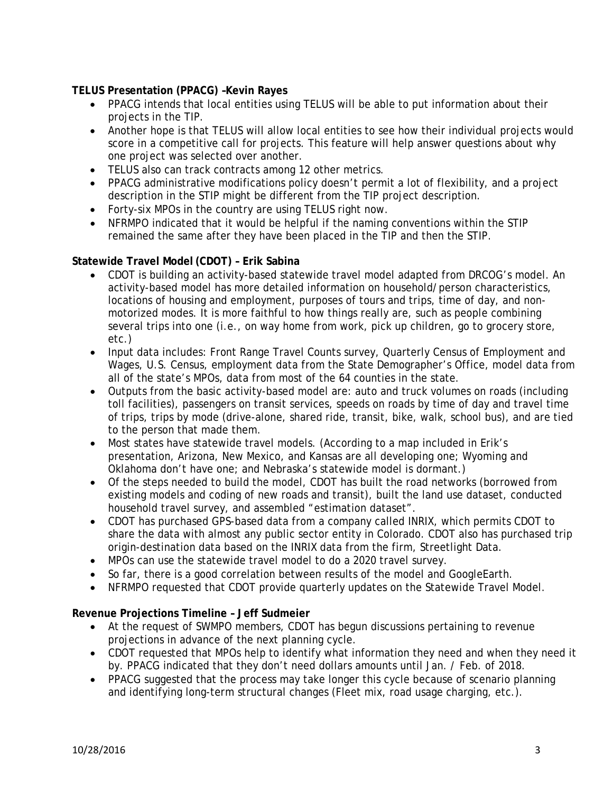# **TELUS Presentation (PPACG) –Kevin Rayes**

- PPACG intends that local entities using TELUS will be able to put information about their projects in the TIP.
- Another hope is that TELUS will allow local entities to see how their individual projects would score in a competitive call for projects. This feature will help answer questions about why one project was selected over another.
- TELUS also can track contracts among 12 other metrics.
- PPACG administrative modifications policy doesn't permit a lot of flexibility, and a project description in the STIP might be different from the TIP project description.
- Forty-six MPOs in the country are using TELUS right now.
- NFRMPO indicated that it would be helpful if the naming conventions within the STIP remained the same after they have been placed in the TIP and then the STIP.

#### **Statewide Travel Model (CDOT) – Erik Sabina**

- CDOT is building an activity-based statewide travel model adapted from DRCOG's model. An activity-based model has more detailed information on household/person characteristics, locations of housing and employment, purposes of tours and trips, time of day, and nonmotorized modes. It is more faithful to how things really are, such as people combining several trips into one (i.e., on way home from work, pick up children, go to grocery store, etc.)
- Input data includes: Front Range Travel Counts survey, Quarterly Census of Employment and Wages, U.S. Census, employment data from the State Demographer's Office, model data from all of the state's MPOs, data from most of the 64 counties in the state.
- Outputs from the basic activity-based model are: auto and truck volumes on roads (including toll facilities), passengers on transit services, speeds on roads by time of day and travel time of trips, trips by mode (drive-alone, shared ride, transit, bike, walk, school bus), and are tied to the person that made them.
- Most states have statewide travel models. (According to a map included in Erik's presentation, Arizona, New Mexico, and Kansas are all developing one; Wyoming and Oklahoma don't have one; and Nebraska's statewide model is dormant.)
- Of the steps needed to build the model, CDOT has built the road networks (borrowed from existing models and coding of new roads and transit), built the land use dataset, conducted household travel survey, and assembled "estimation dataset".
- CDOT has purchased GPS-based data from a company called INRIX, which permits CDOT to share the data with almost any public sector entity in Colorado. CDOT also has purchased trip origin-destination data based on the INRIX data from the firm, Streetlight Data.
- MPOs can use the statewide travel model to do a 2020 travel survey.
- So far, there is a good correlation between results of the model and GoogleEarth.
- NFRMPO requested that CDOT provide quarterly updates on the Statewide Travel Model.

#### **Revenue Projections Timeline – Jeff Sudmeier**

- At the request of SWMPO members, CDOT has begun discussions pertaining to revenue projections in advance of the next planning cycle.
- CDOT requested that MPOs help to identify what information they need and when they need it by. PPACG indicated that they don't need dollars amounts until Jan. / Feb. of 2018.
- PPACG suggested that the process may take longer this cycle because of scenario planning and identifying long-term structural changes (Fleet mix, road usage charging, etc.).